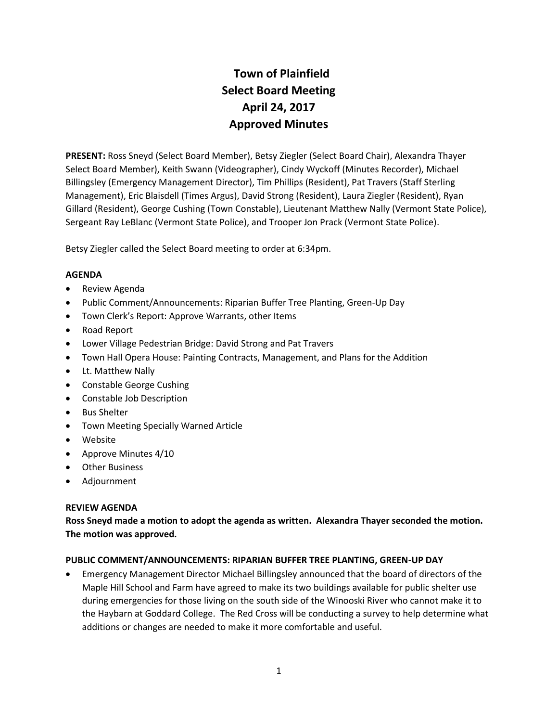# **Town of Plainfield Select Board Meeting April 24, 2017 Approved Minutes**

**PRESENT:** Ross Sneyd (Select Board Member), Betsy Ziegler (Select Board Chair), Alexandra Thayer Select Board Member), Keith Swann (Videographer), Cindy Wyckoff (Minutes Recorder), Michael Billingsley (Emergency Management Director), Tim Phillips (Resident), Pat Travers (Staff Sterling Management), Eric Blaisdell (Times Argus), David Strong (Resident), Laura Ziegler (Resident), Ryan Gillard (Resident), George Cushing (Town Constable), Lieutenant Matthew Nally (Vermont State Police), Sergeant Ray LeBlanc (Vermont State Police), and Trooper Jon Prack (Vermont State Police).

Betsy Ziegler called the Select Board meeting to order at 6:34pm.

## **AGENDA**

- Review Agenda
- Public Comment/Announcements: Riparian Buffer Tree Planting, Green-Up Day
- Town Clerk's Report: Approve Warrants, other Items
- Road Report
- Lower Village Pedestrian Bridge: David Strong and Pat Travers
- Town Hall Opera House: Painting Contracts, Management, and Plans for the Addition
- Lt. Matthew Nally
- Constable George Cushing
- Constable Job Description
- Bus Shelter
- Town Meeting Specially Warned Article
- Website
- Approve Minutes 4/10
- Other Business
- Adjournment

## **REVIEW AGENDA**

**Ross Sneyd made a motion to adopt the agenda as written. Alexandra Thayer seconded the motion. The motion was approved.**

## **PUBLIC COMMENT/ANNOUNCEMENTS: RIPARIAN BUFFER TREE PLANTING, GREEN-UP DAY**

• Emergency Management Director Michael Billingsley announced that the board of directors of the Maple Hill School and Farm have agreed to make its two buildings available for public shelter use during emergencies for those living on the south side of the Winooski River who cannot make it to the Haybarn at Goddard College. The Red Cross will be conducting a survey to help determine what additions or changes are needed to make it more comfortable and useful.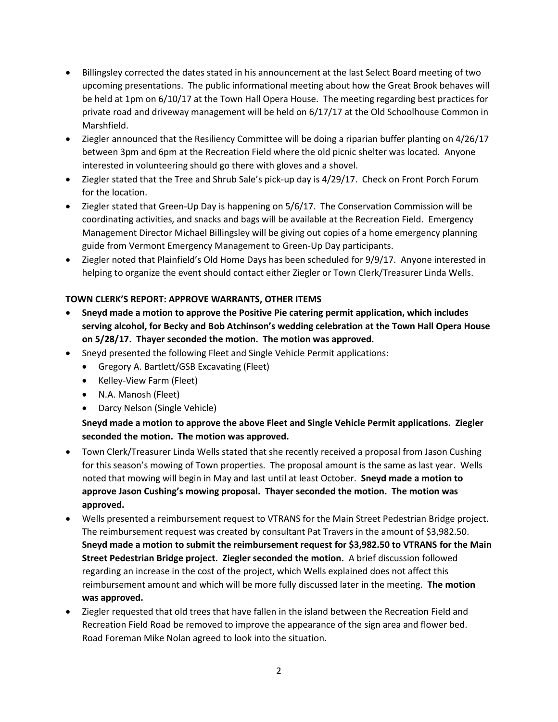- Billingsley corrected the dates stated in his announcement at the last Select Board meeting of two upcoming presentations. The public informational meeting about how the Great Brook behaves will be held at 1pm on 6/10/17 at the Town Hall Opera House. The meeting regarding best practices for private road and driveway management will be held on 6/17/17 at the Old Schoolhouse Common in Marshfield.
- Ziegler announced that the Resiliency Committee will be doing a riparian buffer planting on 4/26/17 between 3pm and 6pm at the Recreation Field where the old picnic shelter was located. Anyone interested in volunteering should go there with gloves and a shovel.
- Ziegler stated that the Tree and Shrub Sale's pick-up day is 4/29/17. Check on Front Porch Forum for the location.
- Ziegler stated that Green-Up Day is happening on 5/6/17. The Conservation Commission will be coordinating activities, and snacks and bags will be available at the Recreation Field. Emergency Management Director Michael Billingsley will be giving out copies of a home emergency planning guide from Vermont Emergency Management to Green-Up Day participants.
- Ziegler noted that Plainfield's Old Home Days has been scheduled for 9/9/17. Anyone interested in helping to organize the event should contact either Ziegler or Town Clerk/Treasurer Linda Wells.

## **TOWN CLERK'S REPORT: APPROVE WARRANTS, OTHER ITEMS**

- **Sneyd made a motion to approve the Positive Pie catering permit application, which includes serving alcohol, for Becky and Bob Atchinson's wedding celebration at the Town Hall Opera House on 5/28/17. Thayer seconded the motion. The motion was approved.**
- Sneyd presented the following Fleet and Single Vehicle Permit applications:
	- Gregory A. Bartlett/GSB Excavating (Fleet)
	- Kelley-View Farm (Fleet)
	- N.A. Manosh (Fleet)
	- Darcy Nelson (Single Vehicle)

# **Sneyd made a motion to approve the above Fleet and Single Vehicle Permit applications. Ziegler seconded the motion. The motion was approved.**

- Town Clerk/Treasurer Linda Wells stated that she recently received a proposal from Jason Cushing for this season's mowing of Town properties. The proposal amount is the same as last year. Wells noted that mowing will begin in May and last until at least October. **Sneyd made a motion to approve Jason Cushing's mowing proposal. Thayer seconded the motion. The motion was approved.**
- Wells presented a reimbursement request to VTRANS for the Main Street Pedestrian Bridge project. The reimbursement request was created by consultant Pat Travers in the amount of \$3,982.50. **Sneyd made a motion to submit the reimbursement request for \$3,982.50 to VTRANS for the Main Street Pedestrian Bridge project. Ziegler seconded the motion.** A brief discussion followed regarding an increase in the cost of the project, which Wells explained does not affect this reimbursement amount and which will be more fully discussed later in the meeting. **The motion was approved.**
- Ziegler requested that old trees that have fallen in the island between the Recreation Field and Recreation Field Road be removed to improve the appearance of the sign area and flower bed. Road Foreman Mike Nolan agreed to look into the situation.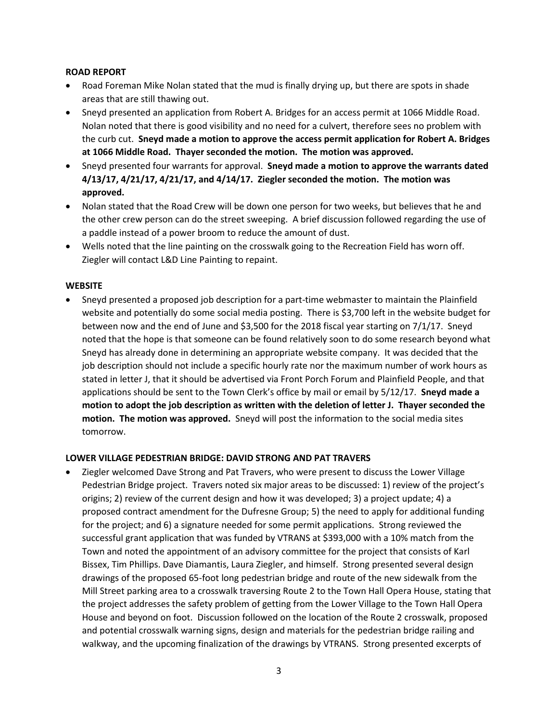## **ROAD REPORT**

- Road Foreman Mike Nolan stated that the mud is finally drying up, but there are spots in shade areas that are still thawing out.
- Sneyd presented an application from Robert A. Bridges for an access permit at 1066 Middle Road. Nolan noted that there is good visibility and no need for a culvert, therefore sees no problem with the curb cut. **Sneyd made a motion to approve the access permit application for Robert A. Bridges at 1066 Middle Road. Thayer seconded the motion. The motion was approved.**
- Sneyd presented four warrants for approval. **Sneyd made a motion to approve the warrants dated 4/13/17, 4/21/17, 4/21/17, and 4/14/17. Ziegler seconded the motion. The motion was approved.**
- Nolan stated that the Road Crew will be down one person for two weeks, but believes that he and the other crew person can do the street sweeping. A brief discussion followed regarding the use of a paddle instead of a power broom to reduce the amount of dust.
- Wells noted that the line painting on the crosswalk going to the Recreation Field has worn off. Ziegler will contact L&D Line Painting to repaint.

## **WEBSITE**

• Sneyd presented a proposed job description for a part-time webmaster to maintain the Plainfield website and potentially do some social media posting. There is \$3,700 left in the website budget for between now and the end of June and \$3,500 for the 2018 fiscal year starting on 7/1/17. Sneyd noted that the hope is that someone can be found relatively soon to do some research beyond what Sneyd has already done in determining an appropriate website company. It was decided that the job description should not include a specific hourly rate nor the maximum number of work hours as stated in letter J, that it should be advertised via Front Porch Forum and Plainfield People, and that applications should be sent to the Town Clerk's office by mail or email by 5/12/17. **Sneyd made a motion to adopt the job description as written with the deletion of letter J. Thayer seconded the motion. The motion was approved.** Sneyd will post the information to the social media sites tomorrow.

## **LOWER VILLAGE PEDESTRIAN BRIDGE: DAVID STRONG AND PAT TRAVERS**

• Ziegler welcomed Dave Strong and Pat Travers, who were present to discuss the Lower Village Pedestrian Bridge project. Travers noted six major areas to be discussed: 1) review of the project's origins; 2) review of the current design and how it was developed; 3) a project update; 4) a proposed contract amendment for the Dufresne Group; 5) the need to apply for additional funding for the project; and 6) a signature needed for some permit applications. Strong reviewed the successful grant application that was funded by VTRANS at \$393,000 with a 10% match from the Town and noted the appointment of an advisory committee for the project that consists of Karl Bissex, Tim Phillips. Dave Diamantis, Laura Ziegler, and himself. Strong presented several design drawings of the proposed 65-foot long pedestrian bridge and route of the new sidewalk from the Mill Street parking area to a crosswalk traversing Route 2 to the Town Hall Opera House, stating that the project addresses the safety problem of getting from the Lower Village to the Town Hall Opera House and beyond on foot. Discussion followed on the location of the Route 2 crosswalk, proposed and potential crosswalk warning signs, design and materials for the pedestrian bridge railing and walkway, and the upcoming finalization of the drawings by VTRANS. Strong presented excerpts of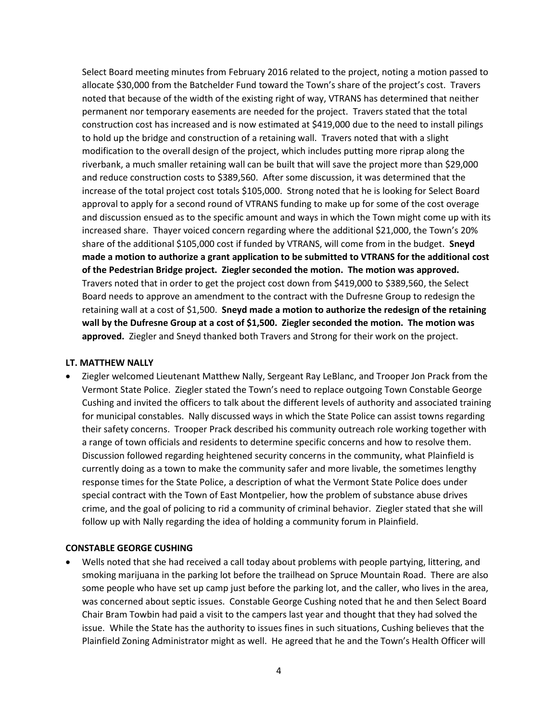Select Board meeting minutes from February 2016 related to the project, noting a motion passed to allocate \$30,000 from the Batchelder Fund toward the Town's share of the project's cost. Travers noted that because of the width of the existing right of way, VTRANS has determined that neither permanent nor temporary easements are needed for the project. Travers stated that the total construction cost has increased and is now estimated at \$419,000 due to the need to install pilings to hold up the bridge and construction of a retaining wall. Travers noted that with a slight modification to the overall design of the project, which includes putting more riprap along the riverbank, a much smaller retaining wall can be built that will save the project more than \$29,000 and reduce construction costs to \$389,560. After some discussion, it was determined that the increase of the total project cost totals \$105,000. Strong noted that he is looking for Select Board approval to apply for a second round of VTRANS funding to make up for some of the cost overage and discussion ensued as to the specific amount and ways in which the Town might come up with its increased share. Thayer voiced concern regarding where the additional \$21,000, the Town's 20% share of the additional \$105,000 cost if funded by VTRANS, will come from in the budget. **Sneyd made a motion to authorize a grant application to be submitted to VTRANS for the additional cost of the Pedestrian Bridge project. Ziegler seconded the motion. The motion was approved.**  Travers noted that in order to get the project cost down from \$419,000 to \$389,560, the Select Board needs to approve an amendment to the contract with the Dufresne Group to redesign the retaining wall at a cost of \$1,500. **Sneyd made a motion to authorize the redesign of the retaining wall by the Dufresne Group at a cost of \$1,500. Ziegler seconded the motion. The motion was approved.** Ziegler and Sneyd thanked both Travers and Strong for their work on the project.

#### **LT. MATTHEW NALLY**

• Ziegler welcomed Lieutenant Matthew Nally, Sergeant Ray LeBlanc, and Trooper Jon Prack from the Vermont State Police. Ziegler stated the Town's need to replace outgoing Town Constable George Cushing and invited the officers to talk about the different levels of authority and associated training for municipal constables. Nally discussed ways in which the State Police can assist towns regarding their safety concerns. Trooper Prack described his community outreach role working together with a range of town officials and residents to determine specific concerns and how to resolve them. Discussion followed regarding heightened security concerns in the community, what Plainfield is currently doing as a town to make the community safer and more livable, the sometimes lengthy response times for the State Police, a description of what the Vermont State Police does under special contract with the Town of East Montpelier, how the problem of substance abuse drives crime, and the goal of policing to rid a community of criminal behavior. Ziegler stated that she will follow up with Nally regarding the idea of holding a community forum in Plainfield.

#### **CONSTABLE GEORGE CUSHING**

• Wells noted that she had received a call today about problems with people partying, littering, and smoking marijuana in the parking lot before the trailhead on Spruce Mountain Road. There are also some people who have set up camp just before the parking lot, and the caller, who lives in the area, was concerned about septic issues. Constable George Cushing noted that he and then Select Board Chair Bram Towbin had paid a visit to the campers last year and thought that they had solved the issue. While the State has the authority to issues fines in such situations, Cushing believes that the Plainfield Zoning Administrator might as well. He agreed that he and the Town's Health Officer will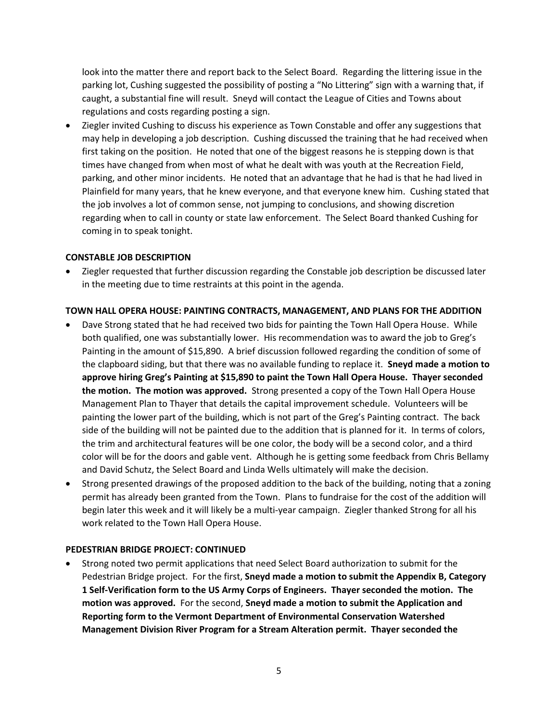look into the matter there and report back to the Select Board. Regarding the littering issue in the parking lot, Cushing suggested the possibility of posting a "No Littering" sign with a warning that, if caught, a substantial fine will result. Sneyd will contact the League of Cities and Towns about regulations and costs regarding posting a sign.

• Ziegler invited Cushing to discuss his experience as Town Constable and offer any suggestions that may help in developing a job description. Cushing discussed the training that he had received when first taking on the position. He noted that one of the biggest reasons he is stepping down is that times have changed from when most of what he dealt with was youth at the Recreation Field, parking, and other minor incidents. He noted that an advantage that he had is that he had lived in Plainfield for many years, that he knew everyone, and that everyone knew him. Cushing stated that the job involves a lot of common sense, not jumping to conclusions, and showing discretion regarding when to call in county or state law enforcement. The Select Board thanked Cushing for coming in to speak tonight.

### **CONSTABLE JOB DESCRIPTION**

• Ziegler requested that further discussion regarding the Constable job description be discussed later in the meeting due to time restraints at this point in the agenda.

## **TOWN HALL OPERA HOUSE: PAINTING CONTRACTS, MANAGEMENT, AND PLANS FOR THE ADDITION**

- Dave Strong stated that he had received two bids for painting the Town Hall Opera House. While both qualified, one was substantially lower. His recommendation was to award the job to Greg's Painting in the amount of \$15,890. A brief discussion followed regarding the condition of some of the clapboard siding, but that there was no available funding to replace it. **Sneyd made a motion to approve hiring Greg's Painting at \$15,890 to paint the Town Hall Opera House. Thayer seconded the motion. The motion was approved.** Strong presented a copy of the Town Hall Opera House Management Plan to Thayer that details the capital improvement schedule. Volunteers will be painting the lower part of the building, which is not part of the Greg's Painting contract. The back side of the building will not be painted due to the addition that is planned for it. In terms of colors, the trim and architectural features will be one color, the body will be a second color, and a third color will be for the doors and gable vent. Although he is getting some feedback from Chris Bellamy and David Schutz, the Select Board and Linda Wells ultimately will make the decision.
- Strong presented drawings of the proposed addition to the back of the building, noting that a zoning permit has already been granted from the Town. Plans to fundraise for the cost of the addition will begin later this week and it will likely be a multi-year campaign. Ziegler thanked Strong for all his work related to the Town Hall Opera House.

#### **PEDESTRIAN BRIDGE PROJECT: CONTINUED**

• Strong noted two permit applications that need Select Board authorization to submit for the Pedestrian Bridge project. For the first, **Sneyd made a motion to submit the Appendix B, Category 1 Self-Verification form to the US Army Corps of Engineers. Thayer seconded the motion. The motion was approved.** For the second, **Sneyd made a motion to submit the Application and Reporting form to the Vermont Department of Environmental Conservation Watershed Management Division River Program for a Stream Alteration permit. Thayer seconded the**